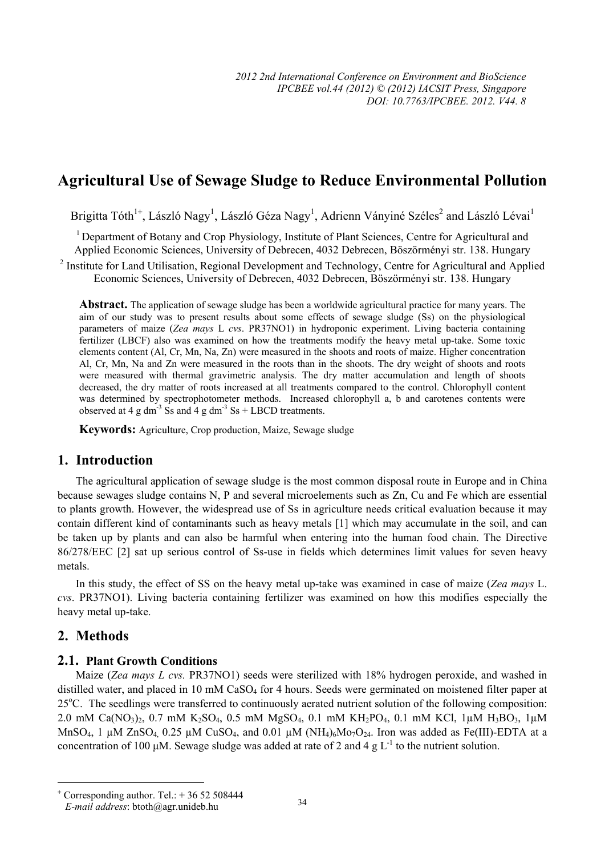# **Agricultural Use of Sewage Sludge to Reduce Environmental Pollution**

Brigitta Tóth<sup>1+</sup>, László Nagy<sup>1</sup>, László Géza Nagy<sup>1</sup>, Adrienn Ványiné Széles<sup>2</sup> and László Lévai<sup>1</sup>

<sup>1</sup> Department of Botany and Crop Physiology, Institute of Plant Sciences, Centre for Agricultural and Applied Economic Sciences, University of Debrecen, 4032 Debrecen, Böszörményi str. 138. Hungary

<sup>2</sup> Institute for Land Utilisation, Regional Development and Technology, Centre for Agricultural and Applied Economic Sciences, University of Debrecen, 4032 Debrecen, Böszörményi str. 138. Hungary

**Abstract.** The application of sewage sludge has been a worldwide agricultural practice for many years. The aim of our study was to present results about some effects of sewage sludge (Ss) on the physiological parameters of maize (*Zea mays* L *cvs*. PR37NO1) in hydroponic experiment. Living bacteria containing fertilizer (LBCF) also was examined on how the treatments modify the heavy metal up-take. Some toxic elements content (Al, Cr, Mn, Na, Zn) were measured in the shoots and roots of maize. Higher concentration Al, Cr, Mn, Na and Zn were measured in the roots than in the shoots. The dry weight of shoots and roots were measured with thermal gravimetric analysis. The dry matter accumulation and length of shoots decreased, the dry matter of roots increased at all treatments compared to the control. Chlorophyll content was determined by spectrophotometer methods. Increased chlorophyll a, b and carotenes contents were observed at 4 g dm<sup>-3</sup> Ss and 4 g dm<sup>-3</sup> Ss + LBCD treatments.

**Keywords:** Agriculture, Crop production, Maize, Sewage sludge

## **1. Introduction**

The agricultural application of sewage sludge is the most common disposal route in Europe and in China because sewages sludge contains N, P and several microelements such as Zn, Cu and Fe which are essential to plants growth. However, the widespread use of Ss in agriculture needs critical evaluation because it may contain different kind of contaminants such as heavy metals [1] which may accumulate in the soil, and can be taken up by plants and can also be harmful when entering into the human food chain. The Directive 86/278/EEC [2] sat up serious control of Ss-use in fields which determines limit values for seven heavy metals.

In this study, the effect of SS on the heavy metal up-take was examined in case of maize (*Zea mays* L. *cvs*. PR37NO1). Living bacteria containing fertilizer was examined on how this modifies especially the heavy metal up-take.

## **2. Methods**

 $\overline{a}$ 

## **2.1. Plant Growth Conditions**

Maize (*Zea mays L cvs.* PR37NO1) seeds were sterilized with 18% hydrogen peroxide, and washed in distilled water, and placed in 10 mM CaSO<sub>4</sub> for 4 hours. Seeds were germinated on moistened filter paper at 25°C. The seedlings were transferred to continuously aerated nutrient solution of the following composition: 2.0 mM Ca(NO<sub>3</sub>)<sub>2</sub>, 0.7 mM K<sub>2</sub>SO<sub>4</sub>, 0.5 mM MgSO<sub>4</sub>, 0.1 mM KH<sub>2</sub>PO<sub>4</sub>, 0.1 mM KCl, 1 $\mu$ M H<sub>3</sub>BO<sub>3</sub>, 1 $\mu$ M MnSO<sub>4</sub>, 1  $\mu$ M ZnSO<sub>4</sub> 0.25  $\mu$ M CuSO<sub>4</sub>, and 0.01  $\mu$ M (NH<sub>4</sub>)<sub>6</sub>Mo<sub>7</sub>O<sub>24</sub>. Iron was added as Fe(III)-EDTA at a concentration of 100 μM. Sewage sludge was added at rate of 2 and 4 g  $L^{-1}$  to the nutrient solution.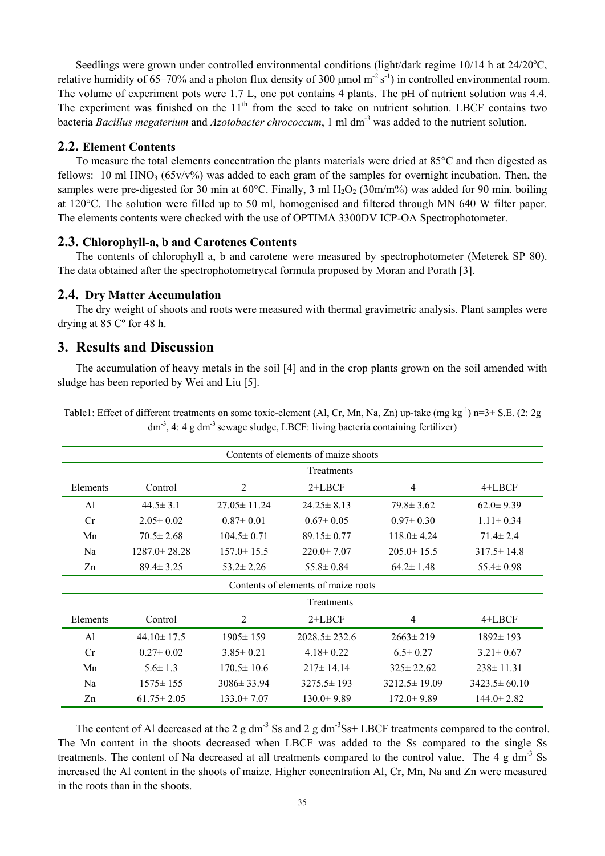Seedlings were grown under controlled environmental conditions (light/dark regime 10/14 h at 24/20°C, relative humidity of 65–70% and a photon flux density of 300  $\mu$ mol m<sup>-2</sup> s<sup>-1</sup>) in controlled environmental room. The volume of experiment pots were 1.7 L, one pot contains 4 plants. The pH of nutrient solution was 4.4. The experiment was finished on the  $11<sup>th</sup>$  from the seed to take on nutrient solution. LBCF contains two bacteria *Bacillus megaterium* and *Azotobacter chrococcum*, 1 ml dm-3 was added to the nutrient solution.

## **2.2. Element Contents**

To measure the total elements concentration the plants materials were dried at 85°C and then digested as fellows: 10 ml HNO<sub>3</sub> ( $65v/v\%$ ) was added to each gram of the samples for overnight incubation. Then, the samples were pre-digested for 30 min at  $60^{\circ}$ C. Finally, 3 ml H<sub>2</sub>O<sub>2</sub> (30m/m%) was added for 90 min. boiling at 120°C. The solution were filled up to 50 ml, homogenised and filtered through MN 640 W filter paper. The elements contents were checked with the use of OPTIMA 3300DV ICP-OA Spectrophotometer.

#### **2.3. Chlorophyll-a, b and Carotenes Contents**

The contents of chlorophyll a, b and carotene were measured by spectrophotometer (Meterek SP 80). The data obtained after the spectrophotometrycal formula proposed by Moran and Porath [3].

#### **2.4. Dry Matter Accumulation**

The dry weight of shoots and roots were measured with thermal gravimetric analysis. Plant samples were drying at 85 Cº for 48 h.

### **3. Results and Discussion**

The accumulation of heavy metals in the soil [4] and in the crop plants grown on the soil amended with sludge has been reported by Wei and Liu [5].

| Contents of elements of maize shoots |                    |                   |                    |                    |                    |  |  |  |
|--------------------------------------|--------------------|-------------------|--------------------|--------------------|--------------------|--|--|--|
| Treatments                           |                    |                   |                    |                    |                    |  |  |  |
| Elements                             | Control            | 2                 | $2+LBCF$           | 4                  | 4+LBCF             |  |  |  |
| Al                                   | $44.5 \pm 3.1$     | $27.05 \pm 11.24$ | $24.25 \pm 8.13$   | $79.8 \pm 3.62$    | $62.0 \pm 9.39$    |  |  |  |
| Cr                                   | $2.05 \pm 0.02$    | $0.87 \pm 0.01$   | $0.67 \pm 0.05$    | $0.97 \pm 0.30$    | $1.11 \pm 0.34$    |  |  |  |
| Mn                                   | $70.5 \pm 2.68$    | $104.5 \pm 0.71$  | $89.15 \pm 0.77$   | $118.0 \pm 4.24$   | $71.4 \pm 2.4$     |  |  |  |
| Na                                   | $1287.0 \pm 28.28$ | $157.0 \pm 15.5$  | $220.0 \pm 7.07$   | $205.0 \pm 15.5$   | $317.5 \pm 14.8$   |  |  |  |
| Zn                                   | $89.4 \pm 3.25$    | $53.2 \pm 2.26$   | $55.8 \pm 0.84$    | $64.2 \pm 1.48$    | $55.4 \pm 0.98$    |  |  |  |
| Contents of elements of maize roots  |                    |                   |                    |                    |                    |  |  |  |
|                                      |                    |                   | Treatments         |                    |                    |  |  |  |
| Elements                             | Control            | 2                 | $2+LBCF$           | 4                  | 4+LBCF             |  |  |  |
| Al                                   | $44.10 \pm 17.5$   | $1905 \pm 159$    | $2028.5 \pm 232.6$ | $2663 \pm 219$     | $1892 \pm 193$     |  |  |  |
| Cr                                   | $0.27 \pm 0.02$    | $3.85 \pm 0.21$   | $4.18 \pm 0.22$    | $6.5 \pm 0.27$     | $3.21 \pm 0.67$    |  |  |  |
| Mn                                   | $5.6 \pm 1.3$      | $170.5 \pm 10.6$  | $217 \pm 14.14$    | $325 \pm 22.62$    | $238 \pm 11.31$    |  |  |  |
| Na                                   | $1575 \pm 155$     | $3086 \pm 33.94$  | $3275.5 \pm 193$   | $3212.5 \pm 19.09$ | $3423.5 \pm 60.10$ |  |  |  |
| Zn                                   | $61.75 \pm 2.05$   | $133.0 \pm 7.07$  | $130.0 \pm 9.89$   | $172.0 \pm 9.89$   | $144.0 \pm 2.82$   |  |  |  |

Table1: Effect of different treatments on some toxic-element (Al, Cr, Mn, Na, Zn) up-take (mg kg<sup>-1</sup>) n=3± S.E. (2: 2g  $dm<sup>3</sup>$ , 4: 4 g dm<sup>-3</sup> sewage sludge, LBCF: living bacteria containing fertilizer)

The content of Al decreased at the 2 g dm<sup>-3</sup> Ss and 2 g dm<sup>-3</sup> Ss+ LBCF treatments compared to the control. The Mn content in the shoots decreased when LBCF was added to the Ss compared to the single Ss treatments. The content of Na decreased at all treatments compared to the control value. The 4 g dm<sup>-3</sup> Ss increased the Al content in the shoots of maize. Higher concentration Al, Cr, Mn, Na and Zn were measured in the roots than in the shoots.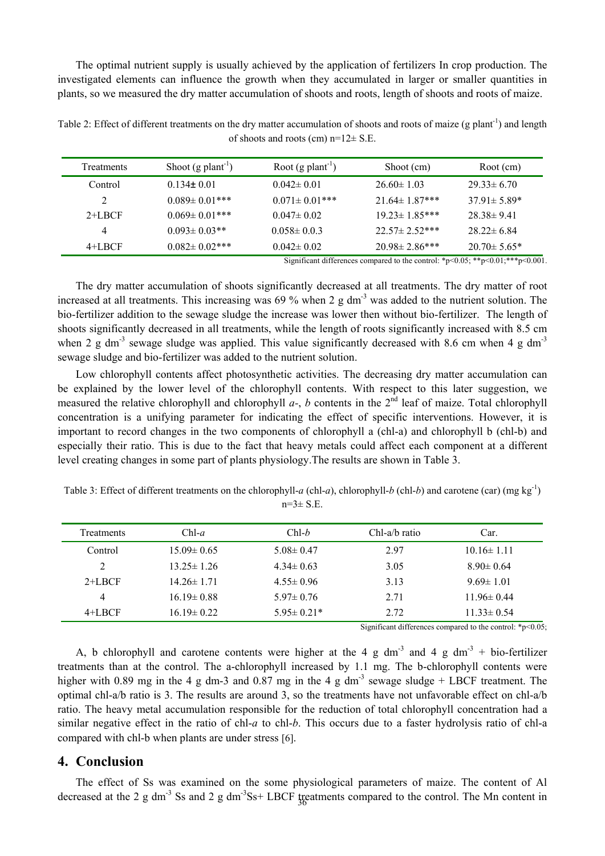The optimal nutrient supply is usually achieved by the application of fertilizers In crop production. The investigated elements can influence the growth when they accumulated in larger or smaller quantities in plants, so we measured the dry matter accumulation of shoots and roots, length of shoots and roots of maize.

| <b>Treatments</b> | Shoot $(g$ plant <sup>-1</sup> ) | Root $(g$ plant <sup>-1</sup> ) | Shoot (cm)           | Root (cm)          |
|-------------------|----------------------------------|---------------------------------|----------------------|--------------------|
| Control           | $0.134 \pm 0.01$                 | $0.042 \pm 0.01$                | $26.60 \pm 1.03$     | $29.33 \pm 6.70$   |
|                   | $0.089 \pm 0.01$ ***             | $0.071 \pm 0.01$ ***            | $21.64 \pm 1.87$ *** | $37.91 \pm 5.89*$  |
| $2+LRCF$          | $0.069 \pm 0.01$ ***             | $0.047 \pm 0.02$                | $19.23 \pm 1.85$ *** | $28.38 \pm 9.41$   |
| 4                 | $0.093 \pm 0.03$ **              | $0.058 \pm 0.03$                | $22.57 \pm 2.52$ *** | $28.22 \pm 6.84$   |
| $4+LBCF$          | $0.082 \pm 0.02$ ***             | $0.042 \pm 0.02$                | $20.98 \pm 2.86$ *** | $20.70 \pm 5.65^*$ |

Table 2: Effect of different treatments on the dry matter accumulation of shoots and roots of maize (g plant<sup>-1</sup>) and length of shoots and roots (cm)  $n=12\pm$  S.E.

Significant differences compared to the control:  $*p<0.05$ ;  $**p<0.01$ ;  $**p<0.001$ .

The dry matter accumulation of shoots significantly decreased at all treatments. The dry matter of root increased at all treatments. This increasing was 69 % when 2 g  $dm^{-3}$  was added to the nutrient solution. The bio-fertilizer addition to the sewage sludge the increase was lower then without bio-fertilizer. The length of shoots significantly decreased in all treatments, while the length of roots significantly increased with 8.5 cm when 2 g dm<sup>-3</sup> sewage sludge was applied. This value significantly decreased with 8.6 cm when 4 g dm<sup>-3</sup> sewage sludge and bio-fertilizer was added to the nutrient solution.

Low chlorophyll contents affect photosynthetic activities. The decreasing dry matter accumulation can be explained by the lower level of the chlorophyll contents. With respect to this later suggestion, we measured the relative chlorophyll and chlorophyll  $a-$ ,  $b$  contents in the  $2<sup>nd</sup>$  leaf of maize. Total chlorophyll concentration is a unifying parameter for indicating the effect of specific interventions. However, it is important to record changes in the two components of chlorophyll a (chl-a) and chlorophyll b (chl-b) and especially their ratio. This is due to the fact that heavy metals could affect each component at a different level creating changes in some part of plants physiology.The results are shown in Table 3.

| <b>Treatments</b> | $Chl-a$          | $Chl-b$          | Chl-a/b ratio | Car.             |
|-------------------|------------------|------------------|---------------|------------------|
| Control           | $15.09 \pm 0.65$ | $5.08 \pm 0.47$  | 2.97          | $10.16 \pm 1.11$ |
| 2                 | $13.25 \pm 1.26$ | $4.34 \pm 0.63$  | 3.05          | $8.90 \pm 0.64$  |
| $2+LBCF$          | $14.26 \pm 1.71$ | $4.55 \pm 0.96$  | 3.13          | $9.69 \pm 1.01$  |
| $\overline{4}$    | $16.19 \pm 0.88$ | $5.97 \pm 0.76$  | 2.71          | $11.96 \pm 0.44$ |
| $4+LBCF$          | $1619 \pm 022$   | $5.95 \pm 0.21*$ | 2.72          | $11.33 \pm 0.54$ |

Table 3: Effect of different treatments on the chlorophyll-*a* (chl-*a*), chlorophyll-*b* (chl-*b*) and carotene (car) (mg kg<sup>-1</sup>)  $n=3\pm S.E$ .

Significant differences compared to the control:  $*_{p}$  < 0.05;

A, b chlorophyll and carotene contents were higher at the 4 g dm<sup>-3</sup> and 4 g dm<sup>-3</sup> + bio-fertilizer treatments than at the control. The a-chlorophyll increased by 1.1 mg. The b-chlorophyll contents were higher with 0.89 mg in the 4 g dm-3 and 0.87 mg in the 4 g dm<sup>-3</sup> sewage sludge + LBCF treatment. The optimal chl-a/b ratio is 3. The results are around 3, so the treatments have not unfavorable effect on chl-a/b ratio. The heavy metal accumulation responsible for the reduction of total chlorophyll concentration had a similar negative effect in the ratio of chl-*a* to chl-*b*. This occurs due to a faster hydrolysis ratio of chl-a compared with chl-b when plants are under stress [6].

## **4. Conclusion**

The effect of Ss was examined on the some physiological parameters of maize. The content of Al decreased at the 2 g dm<sup>-3</sup> Ss and 2 g dm<sup>-3</sup>Ss+ LBCF treatments compared to the control. The Mn content in